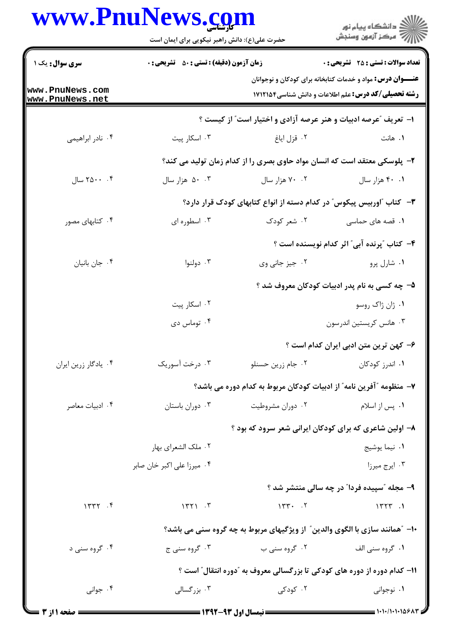## www.PnuNews.com

|                                    | www.PnuNews.com<br>حضرت علی(ع): دانش راهبر نیکویی برای ایمان است |                   | ڪ دانشڪاه پيام نور<br>ر∕ = مرڪز آزمون وسنڊش                                                                                     |  |  |
|------------------------------------|------------------------------------------------------------------|-------------------|---------------------------------------------------------------------------------------------------------------------------------|--|--|
| <b>سری سوال :</b> یک ۱             | <b>زمان آزمون (دقیقه) : تستی : 50 ٪ تشریحی : 0</b>               |                   | <b>تعداد سوالات : تستی : 25 گشریحی : 0</b>                                                                                      |  |  |
| www.PnuNews.com<br>www.PnuNews.net |                                                                  |                   | <b>عنـــوان درس:</b> مواد و خدمات کتابخانه برای کودکان و نوجوانان<br><b>رشته تحصیلی/کد درس:</b> علم اطلاعات و دانش شناسی1۷۱۲۱۵۴ |  |  |
|                                    | ۱- تعریف ؒعرصه ادبیات و هنر عرصه آزادی و اختیار است ؒ از کیست ؟  |                   |                                                                                                                                 |  |  |
| ۰۴ نادر ابراهیمی                   | ۰۳ اسکار پیت                                                     | ۰۲ قزل ایاغ       | ۰۱ هانت                                                                                                                         |  |  |
|                                    |                                                                  |                   | ۲–  پلوسکی معتقد است که انسان مواد حاوی بصری را از کدام زمان تولید می کند؟                                                      |  |  |
| ۰.۴ ۲۵۰۰ سال                       | ۰۰ هزار سال                                                      | ۰۲ هزار سال       | ۰.۱ ۴۰ هزار سال                                                                                                                 |  |  |
|                                    |                                                                  |                   | ۳– کتاب آاوربیس پیکوس ّ در کدام دسته از انواع کتابهای کودک قرار دارد؟                                                           |  |  |
| ۰۴ کتابهای مصور                    | ۰۳ اسطوره ای                                                     | ۰۲ شعر کودک       | ۰۱ قصه های حماسی                                                                                                                |  |  |
|                                    |                                                                  |                   | ۴- کتاب "پرنده آبی" اثر کدام نویسنده است ؟                                                                                      |  |  |
| ۰۴ جان بانیان                      | ۰۳ دولنوا                                                        | ۰۲ جیز جانی وی    | ۰۱ شارل پرو                                                                                                                     |  |  |
|                                    |                                                                  |                   | ۵– چه کسی به نام پدر ادبیات کودکان معروف شد ؟                                                                                   |  |  |
|                                    | ۰۲ اسکار پیت                                                     |                   | ۰۱ ژان ژاک روسو                                                                                                                 |  |  |
|                                    | ۰۴ توماس دی                                                      |                   | ۰۳ هانس کریستین اندرسون                                                                                                         |  |  |
|                                    |                                                                  |                   | ۶– کهن ترین متن ادبی ایران کدام است ؟                                                                                           |  |  |
| ۰۴ يادگار زرين ايران               | ۰۳ درخت آسوریک                                                   | ۰۲ جام زرین حسنلو | ۰۱ اندرز کودکان                                                                                                                 |  |  |
|                                    |                                                                  |                   | ٧– منظومه ″آفرین نامه″ از ادبیات کودکان مربوط به کدام دوره می باشد؟                                                             |  |  |
| ۰۴ ادبیات معاصر                    | ۰۳ دوران باستان                                                  | ۰۲ دوران مشروطیت  | ۰۱ پس از اسلام                                                                                                                  |  |  |
|                                    | ۸– اولین شاعری که برای کودکان ایرانی شعر سرود که بود ؟           |                   |                                                                                                                                 |  |  |
|                                    | ۰۲ ملک الشعرای بهار                                              |                   | ۰۱ نیما یوشیج                                                                                                                   |  |  |
|                                    | ۰۴ میرزا علی اکبر خان صابر                                       |                   | ۰۳ ایرج میرزا                                                                                                                   |  |  |
|                                    |                                                                  |                   | ۹- مجله "سپیده فردا" در چه سالی منتشر شد ؟                                                                                      |  |  |
| 1577.                              | $\mathbf{Y}$                                                     | 15.7              | $1577$ .                                                                                                                        |  |  |
|                                    |                                                                  |                   | <b>۱۰</b> - "همانند سازی با الگوی والدین" از ویژگیهای مربوط به چه گروه سنی می باشد؟                                             |  |  |
| ۰۴ گروه سنی د                      | ۰۳ گروه سنی ج                                                    | ۰۲ گروه سنی ب     | ۰۱ گروه سنی الف                                                                                                                 |  |  |
|                                    |                                                                  |                   | 1۱– کدام دوره از دوره های کودکی تا بزرگسالی معروف به "دوره انتقال″ است ؟                                                        |  |  |
| ۰۴ جوانی                           | ۰۳ بزرگسالی                                                      | ۰۲ کودکی          | ۰۱ نوجوانی                                                                                                                      |  |  |
|                                    |                                                                  |                   |                                                                                                                                 |  |  |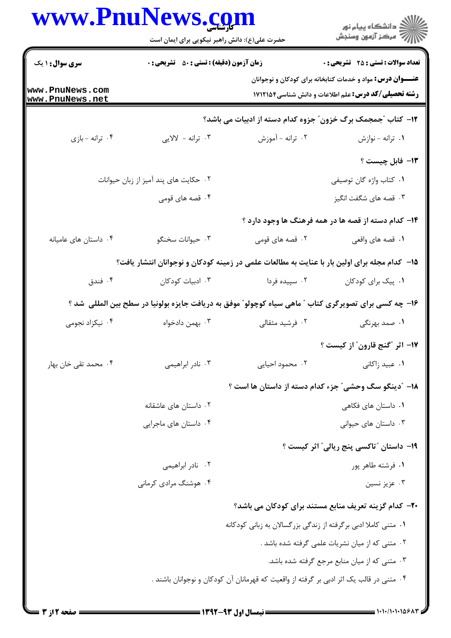## Dnu Nova com

| <b>سری سوال : ۱ یک</b>             | <b>زمان آزمون (دقیقه) : تستی : 50 ٪ تشریحی : 0</b>             |                                                                                                       | <b>تعداد سوالات : تستي : 25 - تشريحي : 0</b>                                                                                    |
|------------------------------------|----------------------------------------------------------------|-------------------------------------------------------------------------------------------------------|---------------------------------------------------------------------------------------------------------------------------------|
| www.PnuNews.com<br>www.PnuNews.net |                                                                |                                                                                                       | <b>عنـــوان درس:</b> مواد و خدمات کتابخانه برای کودکان و نوجوانان<br><b>رشته تحصیلی/کد درس:</b> علم اطلاعات و دانش شناسی1۷۱۲۱۵۴ |
|                                    | ۱۲- کتاب "جمجمک برگ خزون" جزوه کدام دسته از ادبیات می باشد؟    |                                                                                                       |                                                                                                                                 |
| ۰۴ ترانه -بازی                     | ۰۳ ترانه - لالايي                                              | ۰۲ ترانه - آموزش                                                                                      | ٠١ ترانه - نوازش                                                                                                                |
|                                    |                                                                |                                                                                                       | ١٣- فابل چيست ؟                                                                                                                 |
|                                    | ٠٢ حكايت هاى پند آميز از زبان حيوانات                          |                                                                                                       | ۰۱ كتاب واژه گان توصيفي                                                                                                         |
|                                    | ۰۴ قصه های قومی                                                |                                                                                                       | ۰۳ قصه های شگفت انگیز                                                                                                           |
|                                    |                                                                |                                                                                                       | ۱۴- کدام دسته از قصه ها در همه فرهنگ ها وجود دارد ؟                                                                             |
| ۰۴ داستان های عامیانه              | ۰۳ حیوانات سخنگو                                               | ۲. قصه های قومی                                                                                       | ۰۱ قصه های واقعی                                                                                                                |
|                                    |                                                                | ۱۵– کدام مجله برای اولین بار با عنایت به مطالعات علمی در زمینه کودکان و نوجوانان انتشار یافت؟         |                                                                                                                                 |
| ۰۴ فندق                            | ۰۳ ادبیات کودکان                                               | ۰۲ سپیده فردا                                                                                         | ٠١. پیک برای کودکان                                                                                                             |
|                                    |                                                                | ۱۶– چه کسی برای تصویرگری کتاب " ماهی سیاه کوچولو" موفق به دریافت جایزه بولونیا در سطح بین المللی شد ؟ |                                                                                                                                 |
| ۰۴ نیکزاد نجومی                    | ۰۳ بهمن دادخواه                                                | ۰۲ فرشید مثقالی                                                                                       | ۰۱ صمد بهرنگی                                                                                                                   |
|                                    |                                                                |                                                                                                       | ۱۷- اثر "گنج قارون" از کیست ؟                                                                                                   |
| ۰۴ محمد تقی خان بهار               | ۰۳ نادر ابراهیمی                                               | ۰۲ محمود احیایی                                                                                       | ۰۱ عبید زاکانی                                                                                                                  |
|                                    |                                                                | ۱۸– ″دینگو سگ وحشی″ جزء کدام دسته از داستان ها است ؟                                                  |                                                                                                                                 |
|                                    | ۰۲ داستان های عاشقانه                                          |                                                                                                       | ۰۱ داستان های فکاهی                                                                                                             |
|                                    | ۰۴ داستان های ماجرایی                                          |                                                                                                       | ۰۳ داستان های حیوانی                                                                                                            |
|                                    |                                                                |                                                                                                       | <b>۱۹</b> - داستان "تاکسی پنج ریالی" اثر کیست ؟                                                                                 |
|                                    | ۰۲ نادر ابراهیمی                                               |                                                                                                       | ٠١ فرشته طاهر پور                                                                                                               |
|                                    | ۰۴ هوشنگ مرادی کرمانی                                          |                                                                                                       | ۰۳ عزیز نسین                                                                                                                    |
|                                    |                                                                | ۲۰- کدام گزینه تعریف منابع مستند برای کودکان می باشد؟                                                 |                                                                                                                                 |
|                                    | ۰۱ متنی کاملا ادبی برگرفته از زندگی بزرگسالان به زبانی کودکانه |                                                                                                       |                                                                                                                                 |
|                                    |                                                                |                                                                                                       | ۰۲ متنی که از میان نشریات علمی گرفته شده باشد .                                                                                 |
|                                    |                                                                |                                                                                                       | ۰۳ متنی که از میان منابع مرجع گرفته شده باشد.                                                                                   |